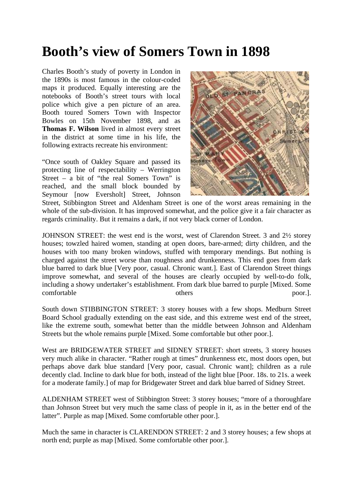## **Booth's view of Somers Town in 1898**

Charles Booth's study of poverty in London in the 1890s is most famous in the colour-coded maps it produced. Equally interesting are the notebooks of Booth's street tours with local police which give a pen picture of an area. Booth toured Somers Town with Inspector Bowles on 15th November 1898, and as **Thomas F. Wilson** lived in almost every street in the district at some time in his life, the following extracts recreate his environment:

"Once south of Oakley Square and passed its protecting line of respectability – Werrington Street – a bit of "the real Somers Town" is reached, and the small block bounded by Seymour [now Eversholt] Street, Johnson



Street, Stibbington Street and Aldenham Street is one of the worst areas remaining in the whole of the sub-division. It has improved somewhat, and the police give it a fair character as regards criminality. But it remains a dark, if not very black corner of London.

JOHNSON STREET: the west end is the worst, west of Clarendon Street. 3 and 2½ storey houses; towzled haired women, standing at open doors, bare-armed; dirty children, and the houses with too many broken windows, stuffed with temporary mendings. But nothing is charged against the street worse than roughness and drunkenness. This end goes from dark blue barred to dark blue [Very poor, casual. Chronic want.]. East of Clarendon Street things improve somewhat, and several of the houses are clearly occupied by well-to-do folk, including a showy undertaker's establishment. From dark blue barred to purple [Mixed. Some comfortable others poor.

South down STIBBINGTON STREET: 3 storey houses with a few shops. Medburn Street Board School gradually extending on the east side, and this extreme west end of the street, like the extreme south, somewhat better than the middle between Johnson and Aldenham Streets but the whole remains purple [Mixed. Some comfortable but other poor.].

West are BRIDGEWATER STREET and SIDNEY STREET: short streets, 3 storey houses very much alike in character. "Rather rough at times" drunkenness etc, most doors open, but perhaps above dark blue standard [Very poor, casual. Chronic want]; children as a rule decently clad. Incline to dark blue for both, instead of the light blue [Poor. 18s. to 21s. a week for a moderate family.] of map for Bridgewater Street and dark blue barred of Sidney Street.

ALDENHAM STREET west of Stibbington Street: 3 storey houses; "more of a thoroughfare than Johnson Street but very much the same class of people in it, as in the better end of the latter". Purple as map [Mixed. Some comfortable other poor.].

Much the same in character is CLARENDON STREET: 2 and 3 storey houses; a few shops at north end; purple as map [Mixed. Some comfortable other poor.].